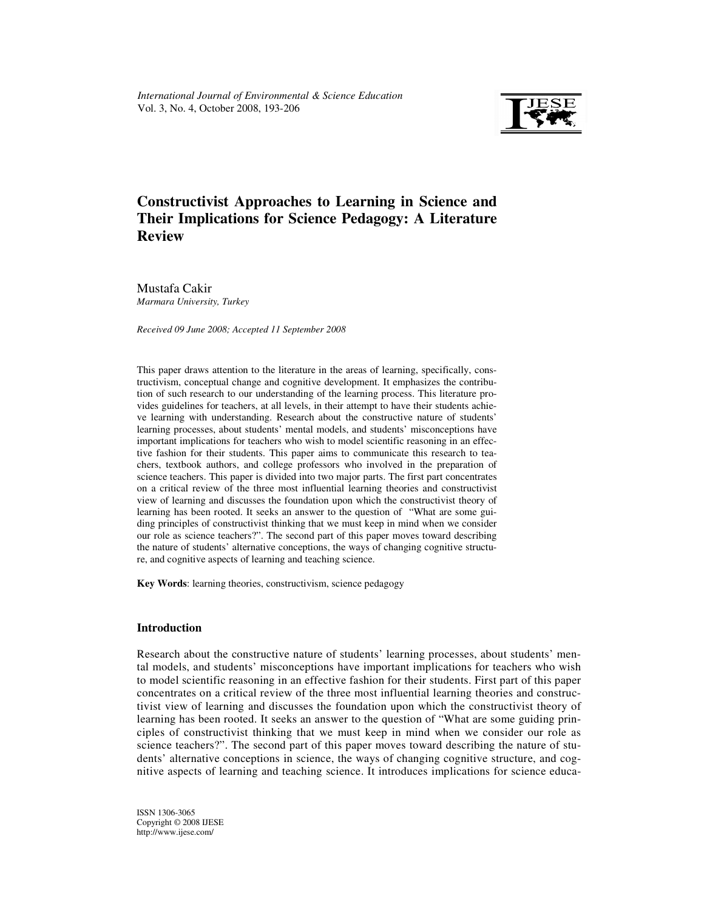

# **Constructivist Approaches to Learning in Science and Their Implications for Science Pedagogy: A Literature Review**

Mustafa Cakir *Marmara University, Turkey* 

*Received 09 June 2008; Accepted 11 September 2008* 

This paper draws attention to the literature in the areas of learning, specifically, constructivism, conceptual change and cognitive development. It emphasizes the contribution of such research to our understanding of the learning process. This literature provides guidelines for teachers, at all levels, in their attempt to have their students achieve learning with understanding. Research about the constructive nature of students' learning processes, about students' mental models, and students' misconceptions have important implications for teachers who wish to model scientific reasoning in an effective fashion for their students. This paper aims to communicate this research to teachers, textbook authors, and college professors who involved in the preparation of science teachers. This paper is divided into two major parts. The first part concentrates on a critical review of the three most influential learning theories and constructivist view of learning and discusses the foundation upon which the constructivist theory of learning has been rooted. It seeks an answer to the question of "What are some guiding principles of constructivist thinking that we must keep in mind when we consider our role as science teachers?". The second part of this paper moves toward describing the nature of students' alternative conceptions, the ways of changing cognitive structure, and cognitive aspects of learning and teaching science.

**Key Words**: learning theories, constructivism, science pedagogy

## **Introduction**

Research about the constructive nature of students' learning processes, about students' mental models, and students' misconceptions have important implications for teachers who wish to model scientific reasoning in an effective fashion for their students. First part of this paper concentrates on a critical review of the three most influential learning theories and constructivist view of learning and discusses the foundation upon which the constructivist theory of learning has been rooted. It seeks an answer to the question of "What are some guiding principles of constructivist thinking that we must keep in mind when we consider our role as science teachers?". The second part of this paper moves toward describing the nature of students' alternative conceptions in science, the ways of changing cognitive structure, and cognitive aspects of learning and teaching science. It introduces implications for science educa-

ISSN 1306-3065 Copyright © 2008 IJESE http://www.ijese.com/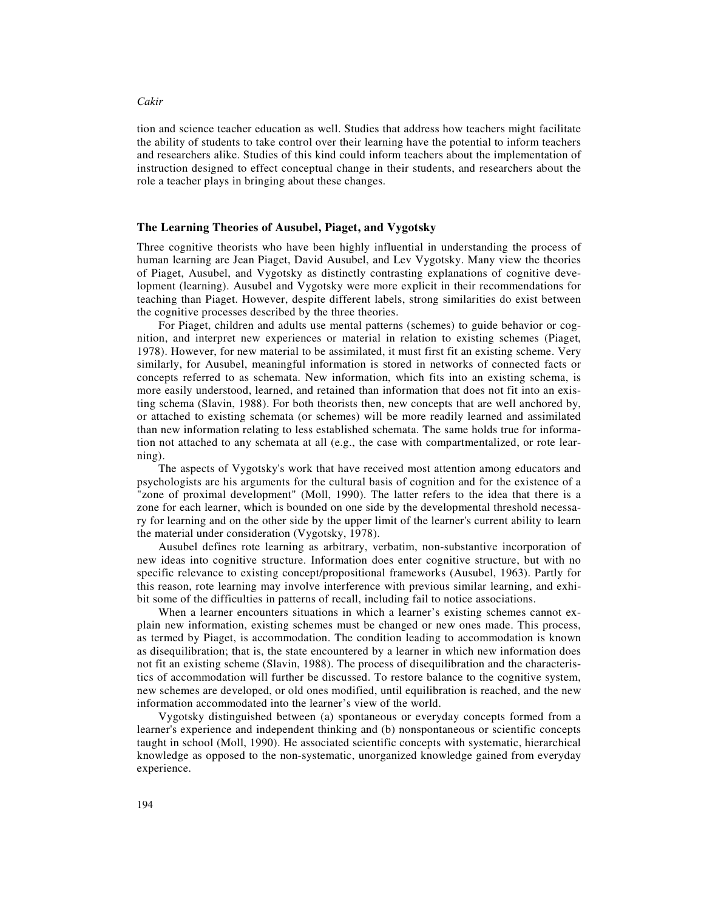tion and science teacher education as well. Studies that address how teachers might facilitate the ability of students to take control over their learning have the potential to inform teachers and researchers alike. Studies of this kind could inform teachers about the implementation of instruction designed to effect conceptual change in their students, and researchers about the role a teacher plays in bringing about these changes.

### **The Learning Theories of Ausubel, Piaget, and Vygotsky**

Three cognitive theorists who have been highly influential in understanding the process of human learning are Jean Piaget, David Ausubel, and Lev Vygotsky. Many view the theories of Piaget, Ausubel, and Vygotsky as distinctly contrasting explanations of cognitive development (learning). Ausubel and Vygotsky were more explicit in their recommendations for teaching than Piaget. However, despite different labels, strong similarities do exist between the cognitive processes described by the three theories.

For Piaget, children and adults use mental patterns (schemes) to guide behavior or cognition, and interpret new experiences or material in relation to existing schemes (Piaget, 1978). However, for new material to be assimilated, it must first fit an existing scheme. Very similarly, for Ausubel, meaningful information is stored in networks of connected facts or concepts referred to as schemata. New information, which fits into an existing schema, is more easily understood, learned, and retained than information that does not fit into an existing schema (Slavin, 1988). For both theorists then, new concepts that are well anchored by, or attached to existing schemata (or schemes) will be more readily learned and assimilated than new information relating to less established schemata. The same holds true for information not attached to any schemata at all (e.g., the case with compartmentalized, or rote learning).

The aspects of Vygotsky's work that have received most attention among educators and psychologists are his arguments for the cultural basis of cognition and for the existence of a "zone of proximal development" (Moll, 1990). The latter refers to the idea that there is a zone for each learner, which is bounded on one side by the developmental threshold necessary for learning and on the other side by the upper limit of the learner's current ability to learn the material under consideration (Vygotsky, 1978).

Ausubel defines rote learning as arbitrary, verbatim, non-substantive incorporation of new ideas into cognitive structure. Information does enter cognitive structure, but with no specific relevance to existing concept/propositional frameworks (Ausubel, 1963). Partly for this reason, rote learning may involve interference with previous similar learning, and exhibit some of the difficulties in patterns of recall, including fail to notice associations.

When a learner encounters situations in which a learner's existing schemes cannot explain new information, existing schemes must be changed or new ones made. This process, as termed by Piaget, is accommodation. The condition leading to accommodation is known as disequilibration; that is, the state encountered by a learner in which new information does not fit an existing scheme (Slavin, 1988). The process of disequilibration and the characteristics of accommodation will further be discussed. To restore balance to the cognitive system, new schemes are developed, or old ones modified, until equilibration is reached, and the new information accommodated into the learner's view of the world.

Vygotsky distinguished between (a) spontaneous or everyday concepts formed from a learner's experience and independent thinking and (b) nonspontaneous or scientific concepts taught in school (Moll, 1990). He associated scientific concepts with systematic, hierarchical knowledge as opposed to the non-systematic, unorganized knowledge gained from everyday experience.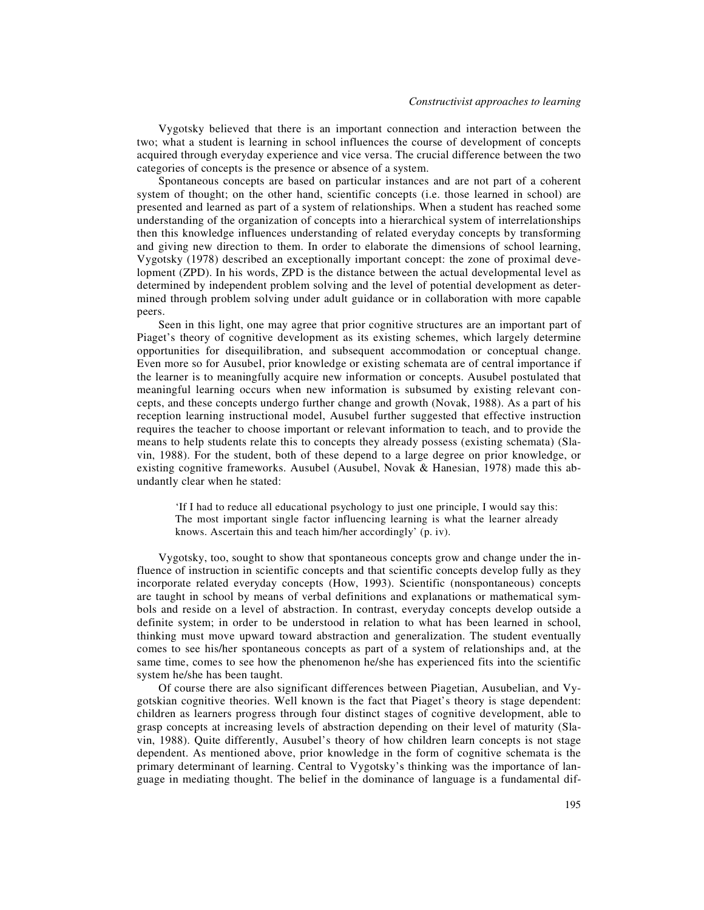Vygotsky believed that there is an important connection and interaction between the two; what a student is learning in school influences the course of development of concepts acquired through everyday experience and vice versa. The crucial difference between the two categories of concepts is the presence or absence of a system.

Spontaneous concepts are based on particular instances and are not part of a coherent system of thought; on the other hand, scientific concepts (i.e. those learned in school) are presented and learned as part of a system of relationships. When a student has reached some understanding of the organization of concepts into a hierarchical system of interrelationships then this knowledge influences understanding of related everyday concepts by transforming and giving new direction to them. In order to elaborate the dimensions of school learning, Vygotsky (1978) described an exceptionally important concept: the zone of proximal development (ZPD). In his words, ZPD is the distance between the actual developmental level as determined by independent problem solving and the level of potential development as determined through problem solving under adult guidance or in collaboration with more capable peers.

Seen in this light, one may agree that prior cognitive structures are an important part of Piaget's theory of cognitive development as its existing schemes, which largely determine opportunities for disequilibration, and subsequent accommodation or conceptual change. Even more so for Ausubel, prior knowledge or existing schemata are of central importance if the learner is to meaningfully acquire new information or concepts. Ausubel postulated that meaningful learning occurs when new information is subsumed by existing relevant concepts, and these concepts undergo further change and growth (Novak, 1988). As a part of his reception learning instructional model, Ausubel further suggested that effective instruction requires the teacher to choose important or relevant information to teach, and to provide the means to help students relate this to concepts they already possess (existing schemata) (Slavin, 1988). For the student, both of these depend to a large degree on prior knowledge, or existing cognitive frameworks. Ausubel (Ausubel, Novak & Hanesian, 1978) made this abundantly clear when he stated:

'If I had to reduce all educational psychology to just one principle, I would say this: The most important single factor influencing learning is what the learner already knows. Ascertain this and teach him/her accordingly' (p. iv).

Vygotsky, too, sought to show that spontaneous concepts grow and change under the influence of instruction in scientific concepts and that scientific concepts develop fully as they incorporate related everyday concepts (How, 1993). Scientific (nonspontaneous) concepts are taught in school by means of verbal definitions and explanations or mathematical symbols and reside on a level of abstraction. In contrast, everyday concepts develop outside a definite system; in order to be understood in relation to what has been learned in school, thinking must move upward toward abstraction and generalization. The student eventually comes to see his/her spontaneous concepts as part of a system of relationships and, at the same time, comes to see how the phenomenon he/she has experienced fits into the scientific system he/she has been taught.

Of course there are also significant differences between Piagetian, Ausubelian, and Vygotskian cognitive theories. Well known is the fact that Piaget's theory is stage dependent: children as learners progress through four distinct stages of cognitive development, able to grasp concepts at increasing levels of abstraction depending on their level of maturity (Slavin, 1988). Quite differently, Ausubel's theory of how children learn concepts is not stage dependent. As mentioned above, prior knowledge in the form of cognitive schemata is the primary determinant of learning. Central to Vygotsky's thinking was the importance of language in mediating thought. The belief in the dominance of language is a fundamental dif-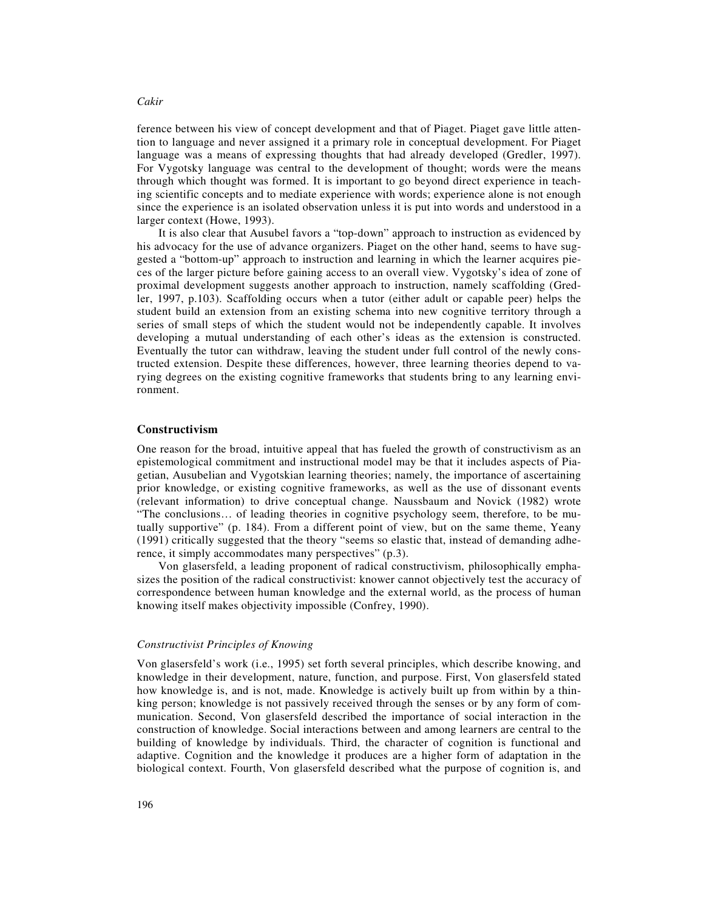ference between his view of concept development and that of Piaget. Piaget gave little attention to language and never assigned it a primary role in conceptual development. For Piaget language was a means of expressing thoughts that had already developed (Gredler, 1997). For Vygotsky language was central to the development of thought; words were the means through which thought was formed. It is important to go beyond direct experience in teaching scientific concepts and to mediate experience with words; experience alone is not enough since the experience is an isolated observation unless it is put into words and understood in a larger context (Howe, 1993).

It is also clear that Ausubel favors a "top-down" approach to instruction as evidenced by his advocacy for the use of advance organizers. Piaget on the other hand, seems to have suggested a "bottom-up" approach to instruction and learning in which the learner acquires pieces of the larger picture before gaining access to an overall view. Vygotsky's idea of zone of proximal development suggests another approach to instruction, namely scaffolding (Gredler, 1997, p.103). Scaffolding occurs when a tutor (either adult or capable peer) helps the student build an extension from an existing schema into new cognitive territory through a series of small steps of which the student would not be independently capable. It involves developing a mutual understanding of each other's ideas as the extension is constructed. Eventually the tutor can withdraw, leaving the student under full control of the newly constructed extension. Despite these differences, however, three learning theories depend to varying degrees on the existing cognitive frameworks that students bring to any learning environment.

## **Constructivism**

One reason for the broad, intuitive appeal that has fueled the growth of constructivism as an epistemological commitment and instructional model may be that it includes aspects of Piagetian, Ausubelian and Vygotskian learning theories; namely, the importance of ascertaining prior knowledge, or existing cognitive frameworks, as well as the use of dissonant events (relevant information) to drive conceptual change. Naussbaum and Novick (1982) wrote "The conclusions… of leading theories in cognitive psychology seem, therefore, to be mutually supportive" (p. 184). From a different point of view, but on the same theme, Yeany (1991) critically suggested that the theory "seems so elastic that, instead of demanding adherence, it simply accommodates many perspectives" (p.3).

Von glasersfeld, a leading proponent of radical constructivism, philosophically emphasizes the position of the radical constructivist: knower cannot objectively test the accuracy of correspondence between human knowledge and the external world, as the process of human knowing itself makes objectivity impossible (Confrey, 1990).

## *Constructivist Principles of Knowing*

Von glasersfeld's work (i.e., 1995) set forth several principles, which describe knowing, and knowledge in their development, nature, function, and purpose. First, Von glasersfeld stated how knowledge is, and is not, made. Knowledge is actively built up from within by a thinking person; knowledge is not passively received through the senses or by any form of communication. Second, Von glasersfeld described the importance of social interaction in the construction of knowledge. Social interactions between and among learners are central to the building of knowledge by individuals. Third, the character of cognition is functional and adaptive. Cognition and the knowledge it produces are a higher form of adaptation in the biological context. Fourth, Von glasersfeld described what the purpose of cognition is, and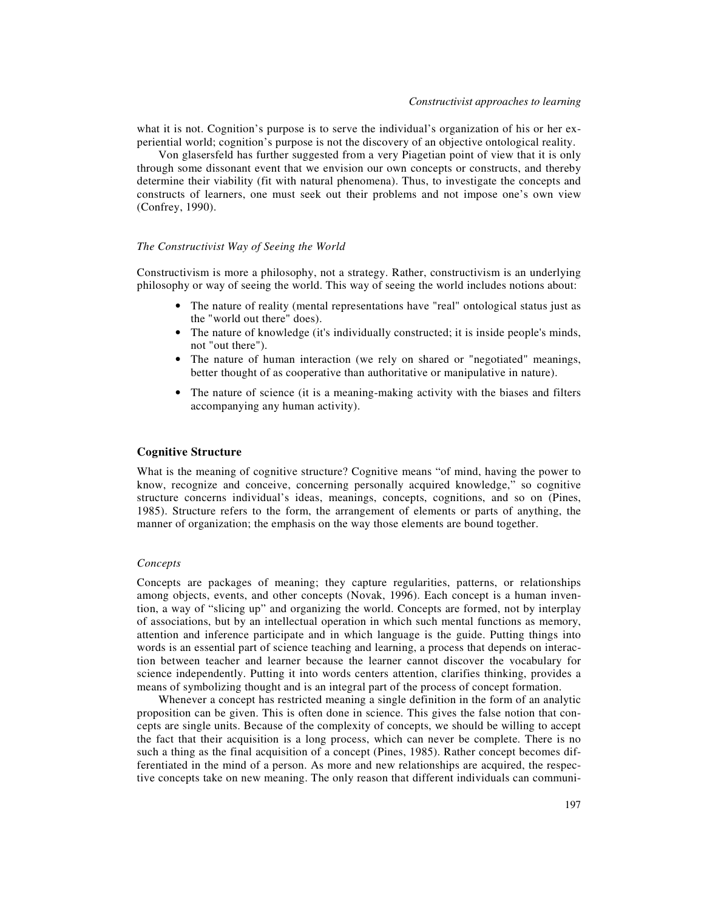what it is not. Cognition's purpose is to serve the individual's organization of his or her experiential world; cognition's purpose is not the discovery of an objective ontological reality.

Von glasersfeld has further suggested from a very Piagetian point of view that it is only through some dissonant event that we envision our own concepts or constructs, and thereby determine their viability (fit with natural phenomena). Thus, to investigate the concepts and constructs of learners, one must seek out their problems and not impose one's own view (Confrey, 1990).

## *The Constructivist Way of Seeing the World*

Constructivism is more a philosophy, not a strategy. Rather, constructivism is an underlying philosophy or way of seeing the world. This way of seeing the world includes notions about:

- The nature of reality (mental representations have "real" ontological status just as the "world out there" does).
- The nature of knowledge (it's individually constructed; it is inside people's minds, not "out there").
- The nature of human interaction (we rely on shared or "negotiated" meanings, better thought of as cooperative than authoritative or manipulative in nature).
- The nature of science (it is a meaning-making activity with the biases and filters accompanying any human activity).

#### **Cognitive Structure**

What is the meaning of cognitive structure? Cognitive means "of mind, having the power to know, recognize and conceive, concerning personally acquired knowledge," so cognitive structure concerns individual's ideas, meanings, concepts, cognitions, and so on (Pines, 1985). Structure refers to the form, the arrangement of elements or parts of anything, the manner of organization; the emphasis on the way those elements are bound together.

## *Concepts*

Concepts are packages of meaning; they capture regularities, patterns, or relationships among objects, events, and other concepts (Novak, 1996). Each concept is a human invention, a way of "slicing up" and organizing the world. Concepts are formed, not by interplay of associations, but by an intellectual operation in which such mental functions as memory, attention and inference participate and in which language is the guide. Putting things into words is an essential part of science teaching and learning, a process that depends on interaction between teacher and learner because the learner cannot discover the vocabulary for science independently. Putting it into words centers attention, clarifies thinking, provides a means of symbolizing thought and is an integral part of the process of concept formation.

Whenever a concept has restricted meaning a single definition in the form of an analytic proposition can be given. This is often done in science. This gives the false notion that concepts are single units. Because of the complexity of concepts, we should be willing to accept the fact that their acquisition is a long process, which can never be complete. There is no such a thing as the final acquisition of a concept (Pines, 1985). Rather concept becomes differentiated in the mind of a person. As more and new relationships are acquired, the respective concepts take on new meaning. The only reason that different individuals can communi-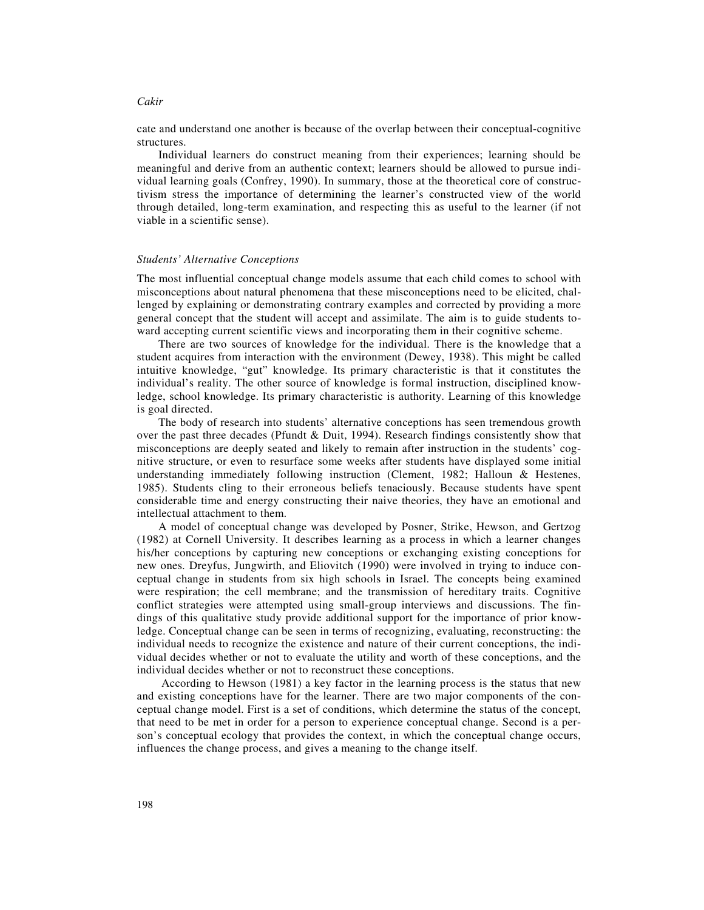cate and understand one another is because of the overlap between their conceptual-cognitive structures.

Individual learners do construct meaning from their experiences; learning should be meaningful and derive from an authentic context; learners should be allowed to pursue individual learning goals (Confrey, 1990). In summary, those at the theoretical core of constructivism stress the importance of determining the learner's constructed view of the world through detailed, long-term examination, and respecting this as useful to the learner (if not viable in a scientific sense).

#### *Students' Alternative Conceptions*

The most influential conceptual change models assume that each child comes to school with misconceptions about natural phenomena that these misconceptions need to be elicited, challenged by explaining or demonstrating contrary examples and corrected by providing a more general concept that the student will accept and assimilate. The aim is to guide students toward accepting current scientific views and incorporating them in their cognitive scheme.

There are two sources of knowledge for the individual. There is the knowledge that a student acquires from interaction with the environment (Dewey, 1938). This might be called intuitive knowledge, "gut" knowledge. Its primary characteristic is that it constitutes the individual's reality. The other source of knowledge is formal instruction, disciplined knowledge, school knowledge. Its primary characteristic is authority. Learning of this knowledge is goal directed.

The body of research into students' alternative conceptions has seen tremendous growth over the past three decades (Pfundt & Duit, 1994). Research findings consistently show that misconceptions are deeply seated and likely to remain after instruction in the students' cognitive structure, or even to resurface some weeks after students have displayed some initial understanding immediately following instruction (Clement, 1982; Halloun & Hestenes, 1985). Students cling to their erroneous beliefs tenaciously. Because students have spent considerable time and energy constructing their naive theories, they have an emotional and intellectual attachment to them.

A model of conceptual change was developed by Posner, Strike, Hewson, and Gertzog (1982) at Cornell University. It describes learning as a process in which a learner changes his/her conceptions by capturing new conceptions or exchanging existing conceptions for new ones. Dreyfus, Jungwirth, and Eliovitch (1990) were involved in trying to induce conceptual change in students from six high schools in Israel. The concepts being examined were respiration; the cell membrane; and the transmission of hereditary traits. Cognitive conflict strategies were attempted using small-group interviews and discussions. The findings of this qualitative study provide additional support for the importance of prior knowledge. Conceptual change can be seen in terms of recognizing, evaluating, reconstructing: the individual needs to recognize the existence and nature of their current conceptions, the individual decides whether or not to evaluate the utility and worth of these conceptions, and the individual decides whether or not to reconstruct these conceptions.

 According to Hewson (1981) a key factor in the learning process is the status that new and existing conceptions have for the learner. There are two major components of the conceptual change model. First is a set of conditions, which determine the status of the concept, that need to be met in order for a person to experience conceptual change. Second is a person's conceptual ecology that provides the context, in which the conceptual change occurs, influences the change process, and gives a meaning to the change itself.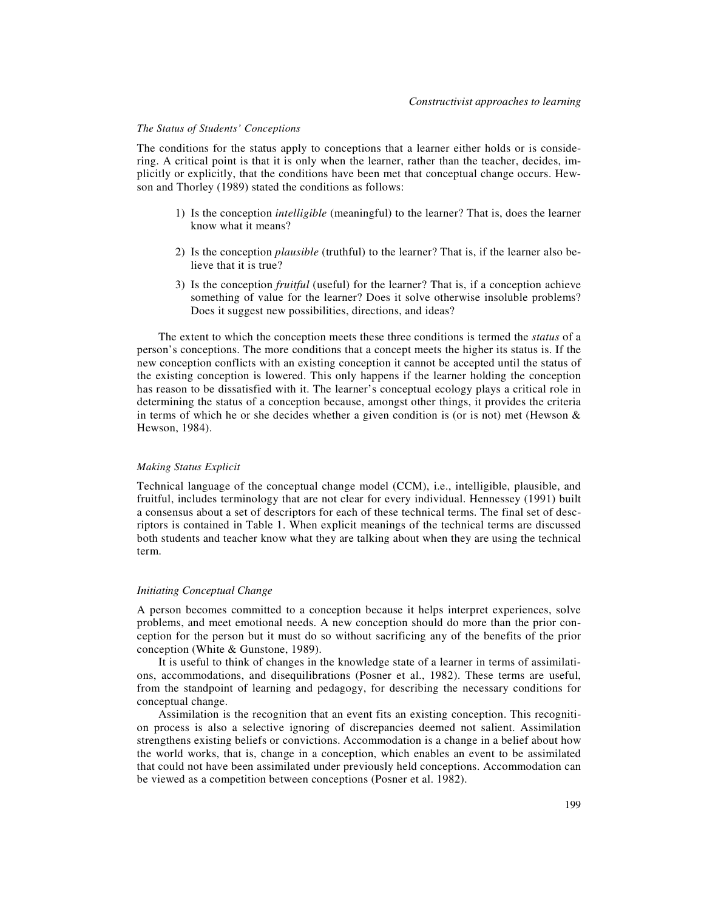#### *The Status of Students' Conceptions*

The conditions for the status apply to conceptions that a learner either holds or is considering. A critical point is that it is only when the learner, rather than the teacher, decides, implicitly or explicitly, that the conditions have been met that conceptual change occurs. Hewson and Thorley (1989) stated the conditions as follows:

- 1) Is the conception *intelligible* (meaningful) to the learner? That is, does the learner know what it means?
- 2) Is the conception *plausible* (truthful) to the learner? That is, if the learner also believe that it is true?
- 3) Is the conception *fruitful* (useful) for the learner? That is, if a conception achieve something of value for the learner? Does it solve otherwise insoluble problems? Does it suggest new possibilities, directions, and ideas?

The extent to which the conception meets these three conditions is termed the *status* of a person's conceptions. The more conditions that a concept meets the higher its status is. If the new conception conflicts with an existing conception it cannot be accepted until the status of the existing conception is lowered. This only happens if the learner holding the conception has reason to be dissatisfied with it. The learner's conceptual ecology plays a critical role in determining the status of a conception because, amongst other things, it provides the criteria in terms of which he or she decides whether a given condition is (or is not) met (Hewson  $\&$ Hewson, 1984).

## *Making Status Explicit*

Technical language of the conceptual change model (CCM), i.e., intelligible, plausible, and fruitful, includes terminology that are not clear for every individual. Hennessey (1991) built a consensus about a set of descriptors for each of these technical terms. The final set of descriptors is contained in Table 1. When explicit meanings of the technical terms are discussed both students and teacher know what they are talking about when they are using the technical term.

#### *Initiating Conceptual Change*

A person becomes committed to a conception because it helps interpret experiences, solve problems, and meet emotional needs. A new conception should do more than the prior conception for the person but it must do so without sacrificing any of the benefits of the prior conception (White & Gunstone, 1989).

It is useful to think of changes in the knowledge state of a learner in terms of assimilations, accommodations, and disequilibrations (Posner et al., 1982). These terms are useful, from the standpoint of learning and pedagogy, for describing the necessary conditions for conceptual change.

Assimilation is the recognition that an event fits an existing conception. This recognition process is also a selective ignoring of discrepancies deemed not salient. Assimilation strengthens existing beliefs or convictions. Accommodation is a change in a belief about how the world works, that is, change in a conception, which enables an event to be assimilated that could not have been assimilated under previously held conceptions. Accommodation can be viewed as a competition between conceptions (Posner et al. 1982).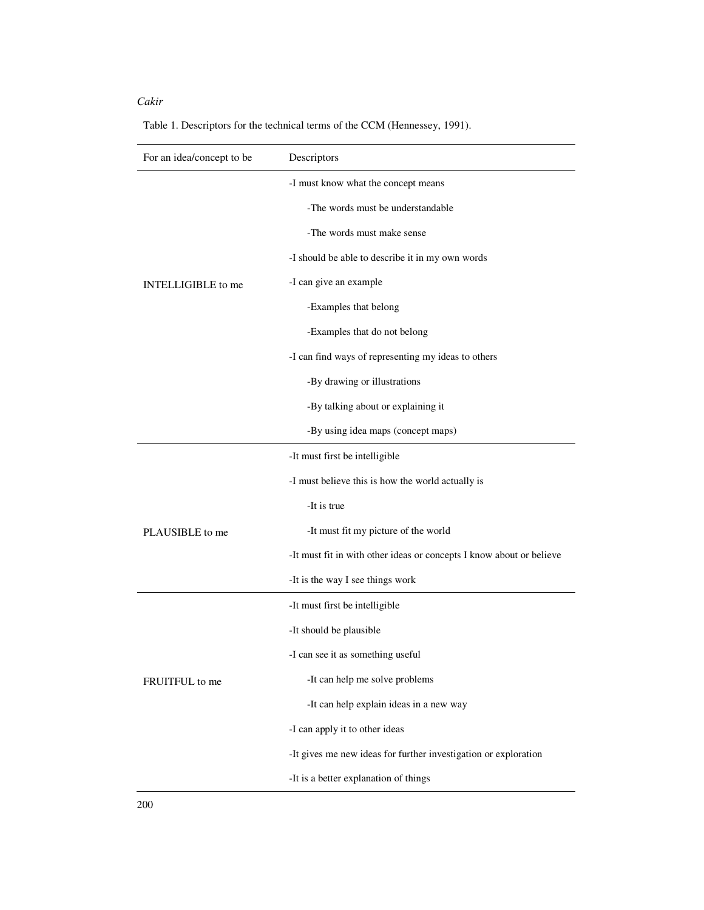| For an idea/concept to be         | Descriptors                                                          |
|-----------------------------------|----------------------------------------------------------------------|
|                                   | -I must know what the concept means                                  |
|                                   | -The words must be understandable                                    |
|                                   | -The words must make sense                                           |
|                                   | -I should be able to describe it in my own words                     |
| <b>INTELLIGIBLE</b> to me         | -I can give an example                                               |
|                                   | -Examples that belong                                                |
|                                   | -Examples that do not belong                                         |
|                                   | -I can find ways of representing my ideas to others                  |
|                                   | -By drawing or illustrations                                         |
|                                   | -By talking about or explaining it                                   |
|                                   | -By using idea maps (concept maps)                                   |
|                                   | -It must first be intelligible                                       |
|                                   | -I must believe this is how the world actually is                    |
|                                   | -It is true                                                          |
| PLAUSIBLE to me<br>FRUITFUL to me | -It must fit my picture of the world                                 |
|                                   | -It must fit in with other ideas or concepts I know about or believe |
|                                   | -It is the way I see things work                                     |
|                                   | -It must first be intelligible                                       |
|                                   | -It should be plausible                                              |
|                                   | -I can see it as something useful                                    |
|                                   | -It can help me solve problems                                       |
|                                   | -It can help explain ideas in a new way                              |
|                                   | -I can apply it to other ideas                                       |
|                                   | -It gives me new ideas for further investigation or exploration      |
|                                   | -It is a better explanation of things                                |

Table 1. Descriptors for the technical terms of the CCM (Hennessey, 1991).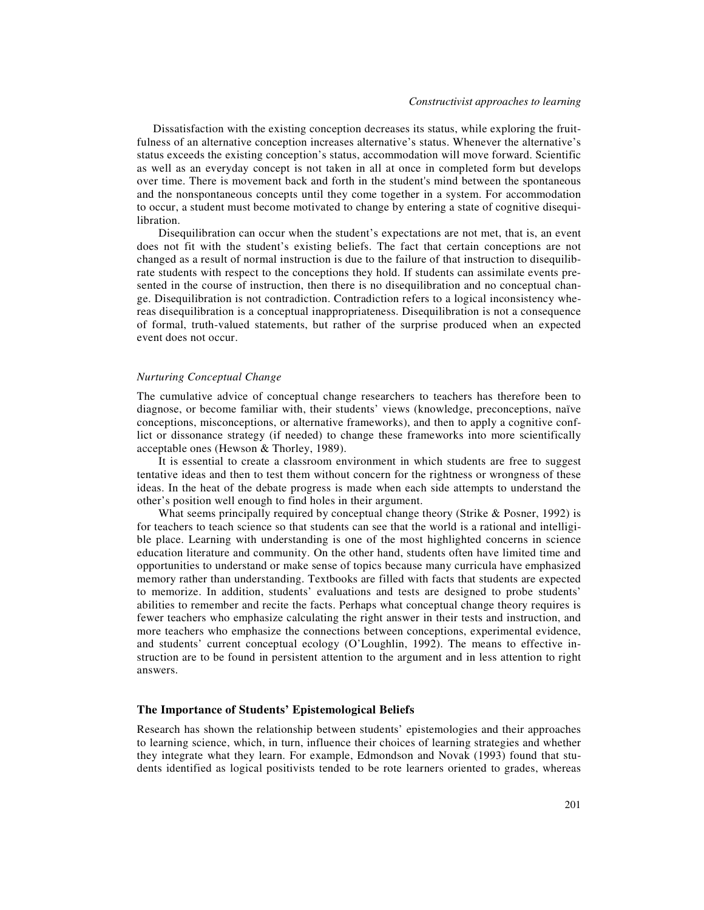Dissatisfaction with the existing conception decreases its status, while exploring the fruitfulness of an alternative conception increases alternative's status. Whenever the alternative's status exceeds the existing conception's status, accommodation will move forward. Scientific as well as an everyday concept is not taken in all at once in completed form but develops over time. There is movement back and forth in the student's mind between the spontaneous and the nonspontaneous concepts until they come together in a system. For accommodation to occur, a student must become motivated to change by entering a state of cognitive disequilibration.

Disequilibration can occur when the student's expectations are not met, that is, an event does not fit with the student's existing beliefs. The fact that certain conceptions are not changed as a result of normal instruction is due to the failure of that instruction to disequilibrate students with respect to the conceptions they hold. If students can assimilate events presented in the course of instruction, then there is no disequilibration and no conceptual change. Disequilibration is not contradiction. Contradiction refers to a logical inconsistency whereas disequilibration is a conceptual inappropriateness. Disequilibration is not a consequence of formal, truth-valued statements, but rather of the surprise produced when an expected event does not occur.

#### *Nurturing Conceptual Change*

The cumulative advice of conceptual change researchers to teachers has therefore been to diagnose, or become familiar with, their students' views (knowledge, preconceptions, naïve conceptions, misconceptions, or alternative frameworks), and then to apply a cognitive conflict or dissonance strategy (if needed) to change these frameworks into more scientifically acceptable ones (Hewson & Thorley, 1989).

It is essential to create a classroom environment in which students are free to suggest tentative ideas and then to test them without concern for the rightness or wrongness of these ideas. In the heat of the debate progress is made when each side attempts to understand the other's position well enough to find holes in their argument.

What seems principally required by conceptual change theory (Strike & Posner, 1992) is for teachers to teach science so that students can see that the world is a rational and intelligible place. Learning with understanding is one of the most highlighted concerns in science education literature and community. On the other hand, students often have limited time and opportunities to understand or make sense of topics because many curricula have emphasized memory rather than understanding. Textbooks are filled with facts that students are expected to memorize. In addition, students' evaluations and tests are designed to probe students' abilities to remember and recite the facts. Perhaps what conceptual change theory requires is fewer teachers who emphasize calculating the right answer in their tests and instruction, and more teachers who emphasize the connections between conceptions, experimental evidence, and students' current conceptual ecology (O'Loughlin, 1992). The means to effective instruction are to be found in persistent attention to the argument and in less attention to right answers.

#### **The Importance of Students' Epistemological Beliefs**

Research has shown the relationship between students' epistemologies and their approaches to learning science, which, in turn, influence their choices of learning strategies and whether they integrate what they learn. For example, Edmondson and Novak (1993) found that students identified as logical positivists tended to be rote learners oriented to grades, whereas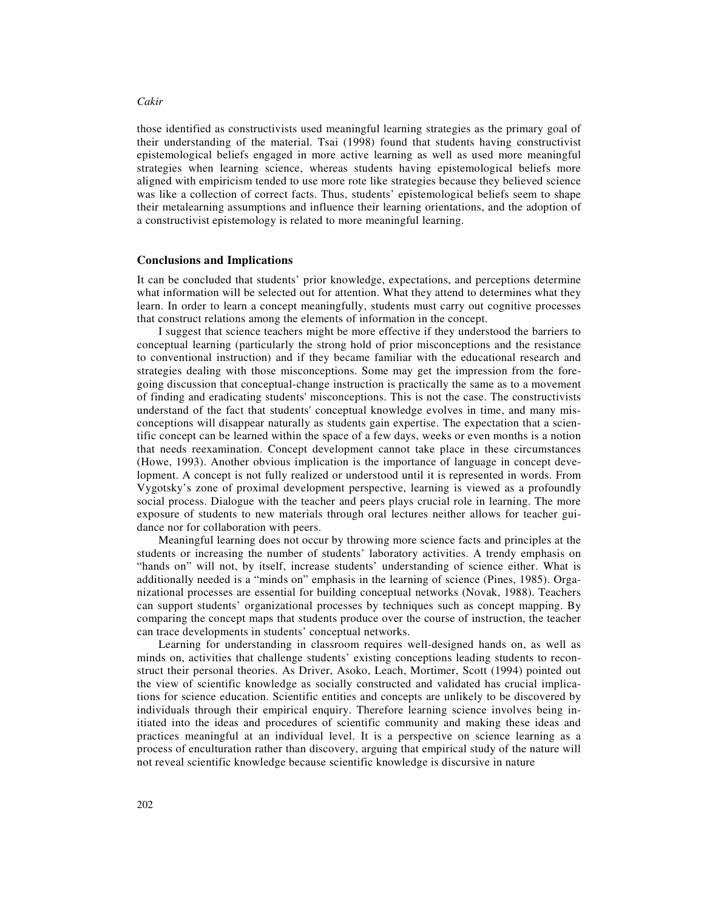those identified as constructivists used meaningful learning strategies as the primary goal of their understanding of the material. Tsai (1998) found that students having constructivist epistemological beliefs engaged in more active learning as well as used more meaningful strategies when learning science, whereas students having epistemological beliefs more aligned with empiricism tended to use more rote like strategies because they believed science was like a collection of correct facts. Thus, students' epistemological beliefs seem to shape their metalearning assumptions and influence their learning orientations, and the adoption of a constructivist epistemology is related to more meaningful learning.

#### **Conclusions and Implications**

It can be concluded that students' prior knowledge, expectations, and perceptions determine what information will be selected out for attention. What they attend to determines what they learn. In order to learn a concept meaningfully, students must carry out cognitive processes that construct relations among the elements of information in the concept.

I suggest that science teachers might be more effective if they understood the barriers to conceptual learning (particularly the strong hold of prior misconceptions and the resistance to conventional instruction) and if they became familiar with the educational research and strategies dealing with those misconceptions. Some may get the impression from the foregoing discussion that conceptual-change instruction is practically the same as to a movement of finding and eradicating students' misconceptions. This is not the case. The constructivists understand of the fact that students' conceptual knowledge evolves in time, and many misconceptions will disappear naturally as students gain expertise. The expectation that a scientific concept can be learned within the space of a few days, weeks or even months is a notion that needs reexamination. Concept development cannot take place in these circumstances (Howe, 1993). Another obvious implication is the importance of language in concept development. A concept is not fully realized or understood until it is represented in words. From Vygotsky's zone of proximal development perspective, learning is viewed as a profoundly social process. Dialogue with the teacher and peers plays crucial role in learning. The more exposure of students to new materials through oral lectures neither allows for teacher guidance nor for collaboration with peers.

Meaningful learning does not occur by throwing more science facts and principles at the students or increasing the number of students' laboratory activities. A trendy emphasis on "hands on" will not, by itself, increase students' understanding of science either. What is additionally needed is a "minds on" emphasis in the learning of science (Pines, 1985). Organizational processes are essential for building conceptual networks (Novak, 1988). Teachers can support students' organizational processes by techniques such as concept mapping. By comparing the concept maps that students produce over the course of instruction, the teacher can trace developments in students' conceptual networks.

Learning for understanding in classroom requires well-designed hands on, as well as minds on, activities that challenge students' existing conceptions leading students to reconstruct their personal theories. As Driver, Asoko, Leach, Mortimer, Scott (1994) pointed out the view of scientific knowledge as socially constructed and validated has crucial implications for science education. Scientific entities and concepts are unlikely to be discovered by individuals through their empirical enquiry. Therefore learning science involves being initiated into the ideas and procedures of scientific community and making these ideas and practices meaningful at an individual level. It is a perspective on science learning as a process of enculturation rather than discovery, arguing that empirical study of the nature will not reveal scientific knowledge because scientific knowledge is discursive in nature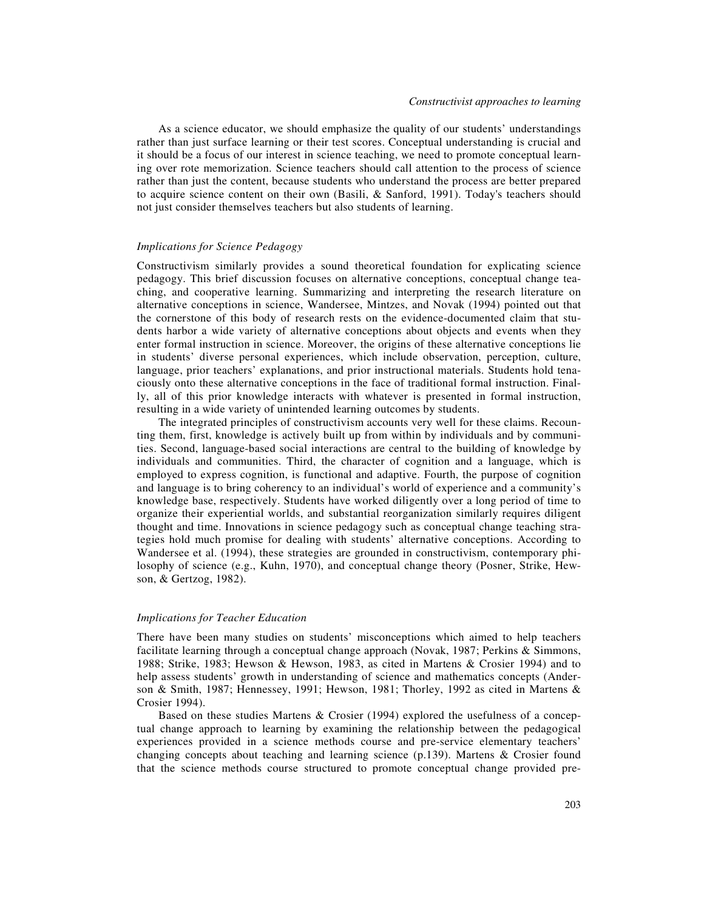As a science educator, we should emphasize the quality of our students' understandings rather than just surface learning or their test scores. Conceptual understanding is crucial and it should be a focus of our interest in science teaching, we need to promote conceptual learning over rote memorization. Science teachers should call attention to the process of science rather than just the content, because students who understand the process are better prepared to acquire science content on their own (Basili, & Sanford, 1991). Today's teachers should not just consider themselves teachers but also students of learning.

## *Implications for Science Pedagogy*

Constructivism similarly provides a sound theoretical foundation for explicating science pedagogy. This brief discussion focuses on alternative conceptions, conceptual change teaching, and cooperative learning. Summarizing and interpreting the research literature on alternative conceptions in science, Wandersee, Mintzes, and Novak (1994) pointed out that the cornerstone of this body of research rests on the evidence-documented claim that students harbor a wide variety of alternative conceptions about objects and events when they enter formal instruction in science. Moreover, the origins of these alternative conceptions lie in students' diverse personal experiences, which include observation, perception, culture, language, prior teachers' explanations, and prior instructional materials. Students hold tenaciously onto these alternative conceptions in the face of traditional formal instruction. Finally, all of this prior knowledge interacts with whatever is presented in formal instruction, resulting in a wide variety of unintended learning outcomes by students.

The integrated principles of constructivism accounts very well for these claims. Recounting them, first, knowledge is actively built up from within by individuals and by communities. Second, language-based social interactions are central to the building of knowledge by individuals and communities. Third, the character of cognition and a language, which is employed to express cognition, is functional and adaptive. Fourth, the purpose of cognition and language is to bring coherency to an individual's world of experience and a community's knowledge base, respectively. Students have worked diligently over a long period of time to organize their experiential worlds, and substantial reorganization similarly requires diligent thought and time. Innovations in science pedagogy such as conceptual change teaching strategies hold much promise for dealing with students' alternative conceptions. According to Wandersee et al. (1994), these strategies are grounded in constructivism, contemporary philosophy of science (e.g., Kuhn, 1970), and conceptual change theory (Posner, Strike, Hewson, & Gertzog, 1982).

## *Implications for Teacher Education*

There have been many studies on students' misconceptions which aimed to help teachers facilitate learning through a conceptual change approach (Novak, 1987; Perkins & Simmons, 1988; Strike, 1983; Hewson & Hewson, 1983, as cited in Martens & Crosier 1994) and to help assess students' growth in understanding of science and mathematics concepts (Anderson & Smith, 1987; Hennessey, 1991; Hewson, 1981; Thorley, 1992 as cited in Martens & Crosier 1994).

Based on these studies Martens & Crosier (1994) explored the usefulness of a conceptual change approach to learning by examining the relationship between the pedagogical experiences provided in a science methods course and pre-service elementary teachers' changing concepts about teaching and learning science (p.139). Martens & Crosier found that the science methods course structured to promote conceptual change provided pre-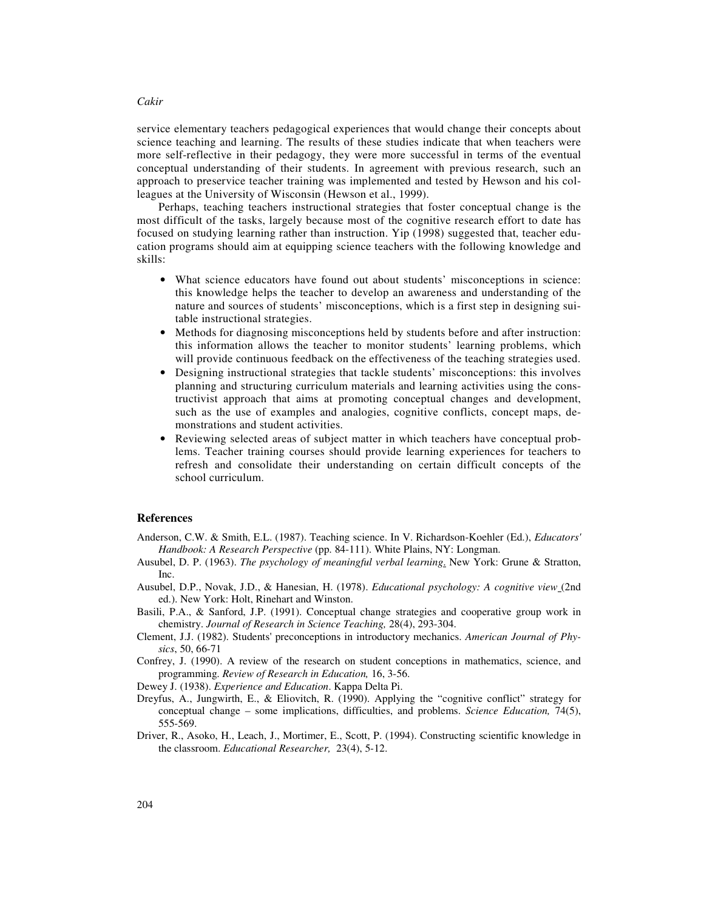service elementary teachers pedagogical experiences that would change their concepts about science teaching and learning. The results of these studies indicate that when teachers were more self-reflective in their pedagogy, they were more successful in terms of the eventual conceptual understanding of their students. In agreement with previous research, such an approach to preservice teacher training was implemented and tested by Hewson and his colleagues at the University of Wisconsin (Hewson et al., 1999).

Perhaps, teaching teachers instructional strategies that foster conceptual change is the most difficult of the tasks, largely because most of the cognitive research effort to date has focused on studying learning rather than instruction. Yip (1998) suggested that, teacher education programs should aim at equipping science teachers with the following knowledge and skills:

- What science educators have found out about students' misconceptions in science: this knowledge helps the teacher to develop an awareness and understanding of the nature and sources of students' misconceptions, which is a first step in designing suitable instructional strategies.
- Methods for diagnosing misconceptions held by students before and after instruction: this information allows the teacher to monitor students' learning problems, which will provide continuous feedback on the effectiveness of the teaching strategies used.
- Designing instructional strategies that tackle students' misconceptions: this involves planning and structuring curriculum materials and learning activities using the constructivist approach that aims at promoting conceptual changes and development, such as the use of examples and analogies, cognitive conflicts, concept maps, demonstrations and student activities.
- Reviewing selected areas of subject matter in which teachers have conceptual problems. Teacher training courses should provide learning experiences for teachers to refresh and consolidate their understanding on certain difficult concepts of the school curriculum.

## **References**

- Anderson, C.W. & Smith, E.L. (1987). Teaching science. In V. Richardson-Koehler (Ed.), *Educators' Handbook: A Research Perspective* (pp. 84-111). White Plains, NY: Longman.
- Ausubel, D. P. (1963). *The psychology of meaningful verbal learning*. New York: Grune & Stratton, Inc.
- Ausubel, D.P., Novak, J.D., & Hanesian, H. (1978). *Educational psychology: A cognitive view* (2nd ed.). New York: Holt, Rinehart and Winston.
- Basili, P.A., & Sanford, J.P. (1991). Conceptual change strategies and cooperative group work in chemistry. *Journal of Research in Science Teaching,* 28(4), 293-304.
- Clement, J.J. (1982). Students' preconceptions in introductory mechanics. *American Journal of Physics*, 50, 66-71
- Confrey, J. (1990). A review of the research on student conceptions in mathematics, science, and programming. *Review of Research in Education,* 16, 3-56.

Dewey J. (1938). *Experience and Education*. Kappa Delta Pi.

- Dreyfus, A., Jungwirth, E., & Eliovitch, R. (1990). Applying the "cognitive conflict" strategy for conceptual change – some implications, difficulties, and problems. *Science Education,* 74(5), 555-569.
- Driver, R., Asoko, H., Leach, J., Mortimer, E., Scott, P. (1994). Constructing scientific knowledge in the classroom. *Educational Researcher,* 23(4), 5-12.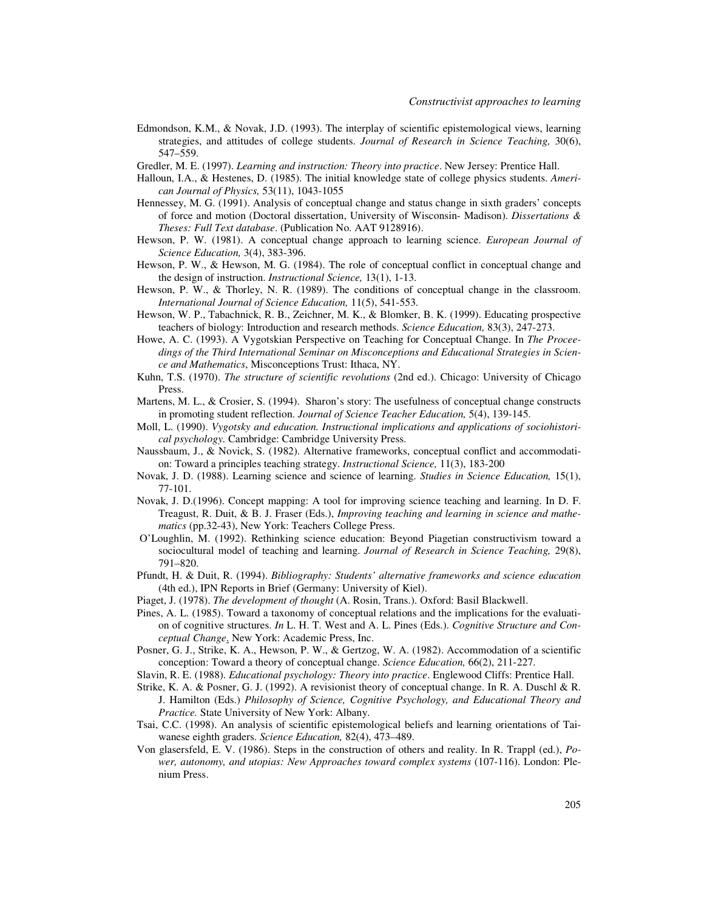- Edmondson, K.M., & Novak, J.D. (1993). The interplay of scientific epistemological views, learning strategies, and attitudes of college students. *Journal of Research in Science Teaching,* 30(6), 547–559.
- Gredler, M. E. (1997). *Learning and instruction: Theory into practice*. New Jersey: Prentice Hall.
- Halloun, I.A., & Hestenes, D. (1985). The initial knowledge state of college physics students. *American Journal of Physics,* 53(11), 1043-1055
- Hennessey, M. G. (1991). Analysis of conceptual change and status change in sixth graders' concepts of force and motion (Doctoral dissertation, University of Wisconsin- Madison). *Dissertations & Theses: Full Text database*. (Publication No. AAT 9128916).
- Hewson, P. W. (1981). A conceptual change approach to learning science. *European Journal of Science Education,* 3(4), 383-396.
- Hewson, P. W., & Hewson, M. G. (1984). The role of conceptual conflict in conceptual change and the design of instruction. *Instructional Science,* 13(1), 1-13.
- Hewson, P. W., & Thorley, N. R. (1989). The conditions of conceptual change in the classroom. *International Journal of Science Education,* 11(5), 541-553.
- Hewson, W. P., Tabachnick, R. B., Zeichner, M. K., & Blomker, B. K. (1999). Educating prospective teachers of biology: Introduction and research methods. *Science Education,* 83(3), 247-273.
- Howe, A. C. (1993). A Vygotskian Perspective on Teaching for Conceptual Change. In *The Proceedings of the Third International Seminar on Misconceptions and Educational Strategies in Science and Mathematics*, Misconceptions Trust: Ithaca, NY.
- Kuhn, T.S. (1970). *The structure of scientific revolutions* (2nd ed.). Chicago: University of Chicago Press.
- Martens, M. L., & Crosier, S. (1994). Sharon's story: The usefulness of conceptual change constructs in promoting student reflection. *Journal of Science Teacher Education,* 5(4), 139-145.
- Moll, L. (1990). *Vygotsky and education. Instructional implications and applications of sociohistorical psychology.* Cambridge: Cambridge University Press.
- Naussbaum, J., & Novick, S. (1982). Alternative frameworks, conceptual conflict and accommodation: Toward a principles teaching strategy. *Instructional Science,* 11(3), 183-200
- Novak, J. D. (1988). Learning science and science of learning. *Studies in Science Education,* 15(1), 77-101.
- Novak, J. D.(1996). Concept mapping: A tool for improving science teaching and learning. In D. F. Treagust, R. Duit, & B. J. Fraser (Eds.), *Improving teaching and learning in science and mathematics* (pp.32-43), New York: Teachers College Press.
- O'Loughlin, M. (1992). Rethinking science education: Beyond Piagetian constructivism toward a sociocultural model of teaching and learning. *Journal of Research in Science Teaching,* 29(8), 791–820.
- Pfundt, H. & Duit, R. (1994). *Bibliography: Students' alternative frameworks and science education* (4th ed.), IPN Reports in Brief (Germany: University of Kiel).
- Piaget, J. (1978). *The development of thought* (A. Rosin, Trans.). Oxford: Basil Blackwell.
- Pines, A. L. (1985). Toward a taxonomy of conceptual relations and the implications for the evaluation of cognitive structures. *In* L. H. T. West and A. L. Pines (Eds.). *Cognitive Structure and Conceptual Change*. New York: Academic Press, Inc.
- Posner, G. J., Strike, K. A., Hewson, P. W., & Gertzog, W. A. (1982). Accommodation of a scientific conception: Toward a theory of conceptual change. *Science Education,* 66(2), 211-227.
- Slavin, R. E. (1988). *Educational psychology: Theory into practice*. Englewood Cliffs: Prentice Hall.
- Strike, K. A. & Posner, G. J. (1992). A revisionist theory of conceptual change. In R. A. Duschl & R. J. Hamilton (Eds.) *Philosophy of Science, Cognitive Psychology, and Educational Theory and Practice.* State University of New York: Albany.
- Tsai, C.C. (1998). An analysis of scientific epistemological beliefs and learning orientations of Taiwanese eighth graders. *Science Education,* 82(4), 473–489.
- Von glasersfeld, E. V. (1986). Steps in the construction of others and reality. In R. Trappl (ed.), *Power, autonomy, and utopias: New Approaches toward complex systems* (107-116). London: Plenium Press.